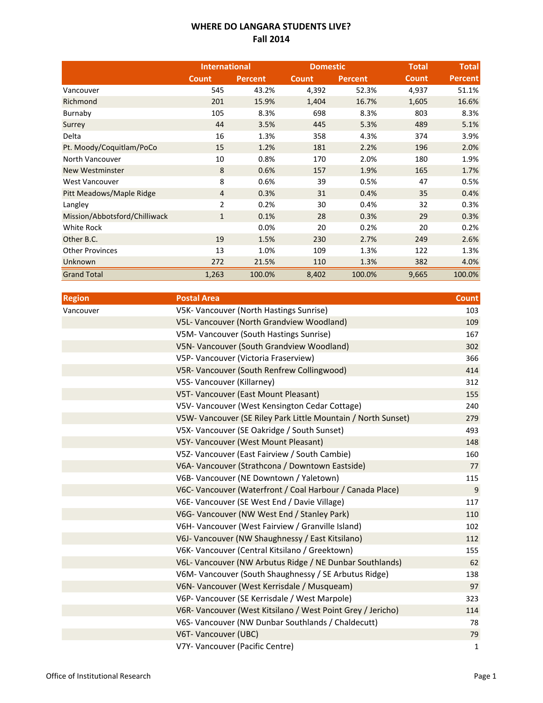## **WHERE DO LANGARA STUDENTS LIVE? Fall 2014**

|                               | <b>International</b> |                | <b>Domestic</b> |                | <b>Total</b> | <b>Total</b>   |
|-------------------------------|----------------------|----------------|-----------------|----------------|--------------|----------------|
|                               | Count                | <b>Percent</b> | <b>Count</b>    | <b>Percent</b> | <b>Count</b> | <b>Percent</b> |
| Vancouver                     | 545                  | 43.2%          | 4,392           | 52.3%          | 4,937        | 51.1%          |
| Richmond                      | 201                  | 15.9%          | 1,404           | 16.7%          | 1,605        | 16.6%          |
| Burnaby                       | 105                  | 8.3%           | 698             | 8.3%           | 803          | 8.3%           |
| Surrey                        | 44                   | 3.5%           | 445             | 5.3%           | 489          | 5.1%           |
| Delta                         | 16                   | 1.3%           | 358             | 4.3%           | 374          | 3.9%           |
| Pt. Moody/Coquitlam/PoCo      | 15                   | 1.2%           | 181             | 2.2%           | 196          | 2.0%           |
| North Vancouver               | 10                   | 0.8%           | 170             | 2.0%           | 180          | 1.9%           |
| <b>New Westminster</b>        | 8                    | 0.6%           | 157             | 1.9%           | 165          | 1.7%           |
| <b>West Vancouver</b>         | 8                    | 0.6%           | 39              | 0.5%           | 47           | 0.5%           |
| Pitt Meadows/Maple Ridge      | $\overline{4}$       | 0.3%           | 31              | 0.4%           | 35           | 0.4%           |
| Langley                       | $\overline{2}$       | 0.2%           | 30              | 0.4%           | 32           | 0.3%           |
| Mission/Abbotsford/Chilliwack | $\mathbf{1}$         | 0.1%           | 28              | 0.3%           | 29           | 0.3%           |
| <b>White Rock</b>             |                      | 0.0%           | 20              | 0.2%           | 20           | 0.2%           |
| Other B.C.                    | 19                   | 1.5%           | 230             | 2.7%           | 249          | 2.6%           |
| <b>Other Provinces</b>        | 13                   | 1.0%           | 109             | 1.3%           | 122          | 1.3%           |
| Unknown                       | 272                  | 21.5%          | 110             | 1.3%           | 382          | 4.0%           |
| <b>Grand Total</b>            | 1,263                | 100.0%         | 8,402           | 100.0%         | 9,665        | 100.0%         |

| <b>Region</b> | <b>Postal Area</b>                                            | <b>Count</b> |
|---------------|---------------------------------------------------------------|--------------|
| Vancouver     | V5K- Vancouver (North Hastings Sunrise)                       | 103          |
|               | V5L- Vancouver (North Grandview Woodland)                     | 109          |
|               | V5M- Vancouver (South Hastings Sunrise)                       | 167          |
|               | V5N- Vancouver (South Grandview Woodland)                     | 302          |
|               | V5P- Vancouver (Victoria Fraserview)                          | 366          |
|               | V5R-Vancouver (South Renfrew Collingwood)                     | 414          |
|               | V5S- Vancouver (Killarney)                                    | 312          |
|               | V5T- Vancouver (East Mount Pleasant)                          | 155          |
|               | V5V- Vancouver (West Kensington Cedar Cottage)                | 240          |
|               | V5W- Vancouver (SE Riley Park Little Mountain / North Sunset) | 279          |
|               | V5X- Vancouver (SE Oakridge / South Sunset)                   | 493          |
|               | V5Y- Vancouver (West Mount Pleasant)                          | 148          |
|               | V5Z- Vancouver (East Fairview / South Cambie)                 | 160          |
|               | V6A- Vancouver (Strathcona / Downtown Eastside)               | 77           |
|               | V6B- Vancouver (NE Downtown / Yaletown)                       | 115          |
|               | V6C- Vancouver (Waterfront / Coal Harbour / Canada Place)     | 9            |
|               | V6E- Vancouver (SE West End / Davie Village)                  | 117          |
|               | V6G- Vancouver (NW West End / Stanley Park)                   | 110          |
|               | V6H- Vancouver (West Fairview / Granville Island)             | 102          |
|               | V6J- Vancouver (NW Shaughnessy / East Kitsilano)              | 112          |
|               | V6K- Vancouver (Central Kitsilano / Greektown)                | 155          |
|               | V6L- Vancouver (NW Arbutus Ridge / NE Dunbar Southlands)      | 62           |
|               | V6M- Vancouver (South Shaughnessy / SE Arbutus Ridge)         | 138          |
|               | V6N- Vancouver (West Kerrisdale / Musqueam)                   | 97           |
|               | V6P- Vancouver (SE Kerrisdale / West Marpole)                 | 323          |
|               | V6R-Vancouver (West Kitsilano / West Point Grey / Jericho)    | 114          |
|               | V6S- Vancouver (NW Dunbar Southlands / Chaldecutt)            | 78           |
|               | V6T- Vancouver (UBC)                                          | 79           |
|               | V7Y- Vancouver (Pacific Centre)                               | 1            |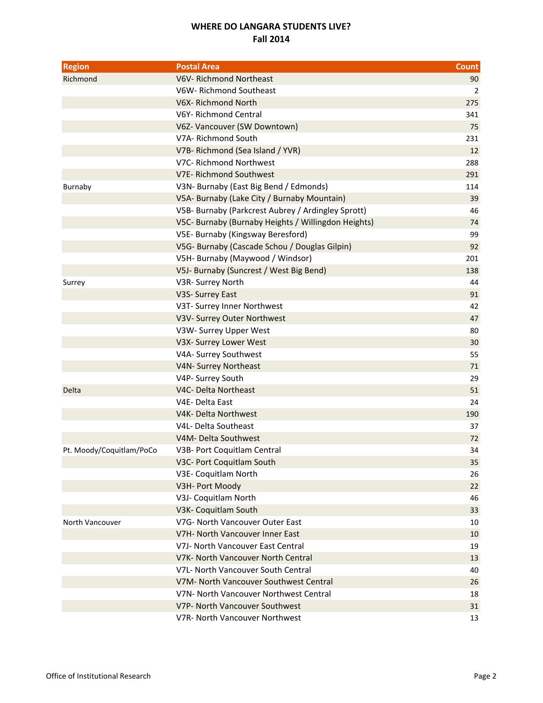## **WHERE DO LANGARA STUDENTS LIVE? Fall 2014**

| <b>Region</b>            | <b>Postal Area</b>                                  | <b>Count</b> |
|--------------------------|-----------------------------------------------------|--------------|
| Richmond                 | V6V-Richmond Northeast                              | 90           |
|                          | V6W- Richmond Southeast                             | 2            |
|                          | V6X-Richmond North                                  | 275          |
|                          | V6Y-Richmond Central                                | 341          |
|                          | V6Z- Vancouver (SW Downtown)                        | 75           |
|                          | V7A- Richmond South                                 | 231          |
|                          | V7B-Richmond (Sea Island / YVR)                     | 12           |
|                          | V7C- Richmond Northwest                             | 288          |
|                          | V7E-Richmond Southwest                              | 291          |
| Burnaby                  | V3N- Burnaby (East Big Bend / Edmonds)              | 114          |
|                          | V5A- Burnaby (Lake City / Burnaby Mountain)         | 39           |
|                          | V5B- Burnaby (Parkcrest Aubrey / Ardingley Sprott)  | 46           |
|                          | V5C- Burnaby (Burnaby Heights / Willingdon Heights) | 74           |
|                          | V5E- Burnaby (Kingsway Beresford)                   | 99           |
|                          | V5G- Burnaby (Cascade Schou / Douglas Gilpin)       | 92           |
|                          | V5H- Burnaby (Maywood / Windsor)                    | 201          |
|                          | V5J- Burnaby (Suncrest / West Big Bend)             | 138          |
| Surrey                   | V3R- Surrey North                                   | 44           |
|                          | V3S- Surrey East                                    | 91           |
|                          | V3T- Surrey Inner Northwest                         | 42           |
|                          | V3V- Surrey Outer Northwest                         | 47           |
|                          | V3W- Surrey Upper West                              | 80           |
|                          | V3X- Surrey Lower West                              | 30           |
|                          | V4A- Surrey Southwest                               | 55           |
|                          | V4N- Surrey Northeast                               | 71           |
|                          | V4P- Surrey South                                   | 29           |
| Delta                    | V4C- Delta Northeast                                | 51           |
|                          | V4E-Delta East                                      | 24           |
|                          | V4K- Delta Northwest                                | 190          |
|                          | V4L- Delta Southeast                                | 37           |
|                          | V4M- Delta Southwest                                | 72           |
| Pt. Moody/Coquitlam/PoCo | V3B- Port Coquitlam Central                         | 34           |
|                          | V3C- Port Coquitlam South                           | 35           |
|                          | V3E- Coquitlam North                                | 26           |
|                          | V3H- Port Moody                                     | 22           |
|                          | V3J- Coquitlam North                                | 46           |
|                          | V3K- Coquitlam South                                | 33           |
| North Vancouver          | V7G- North Vancouver Outer East                     | 10           |
|                          | V7H- North Vancouver Inner East                     | 10           |
|                          | V7J- North Vancouver East Central                   | 19           |
|                          | V7K- North Vancouver North Central                  | 13           |
|                          | V7L- North Vancouver South Central                  | 40           |
|                          | V7M- North Vancouver Southwest Central              | 26           |
|                          | V7N- North Vancouver Northwest Central              | 18           |
|                          | V7P- North Vancouver Southwest                      | 31           |
|                          | V7R- North Vancouver Northwest                      | 13           |